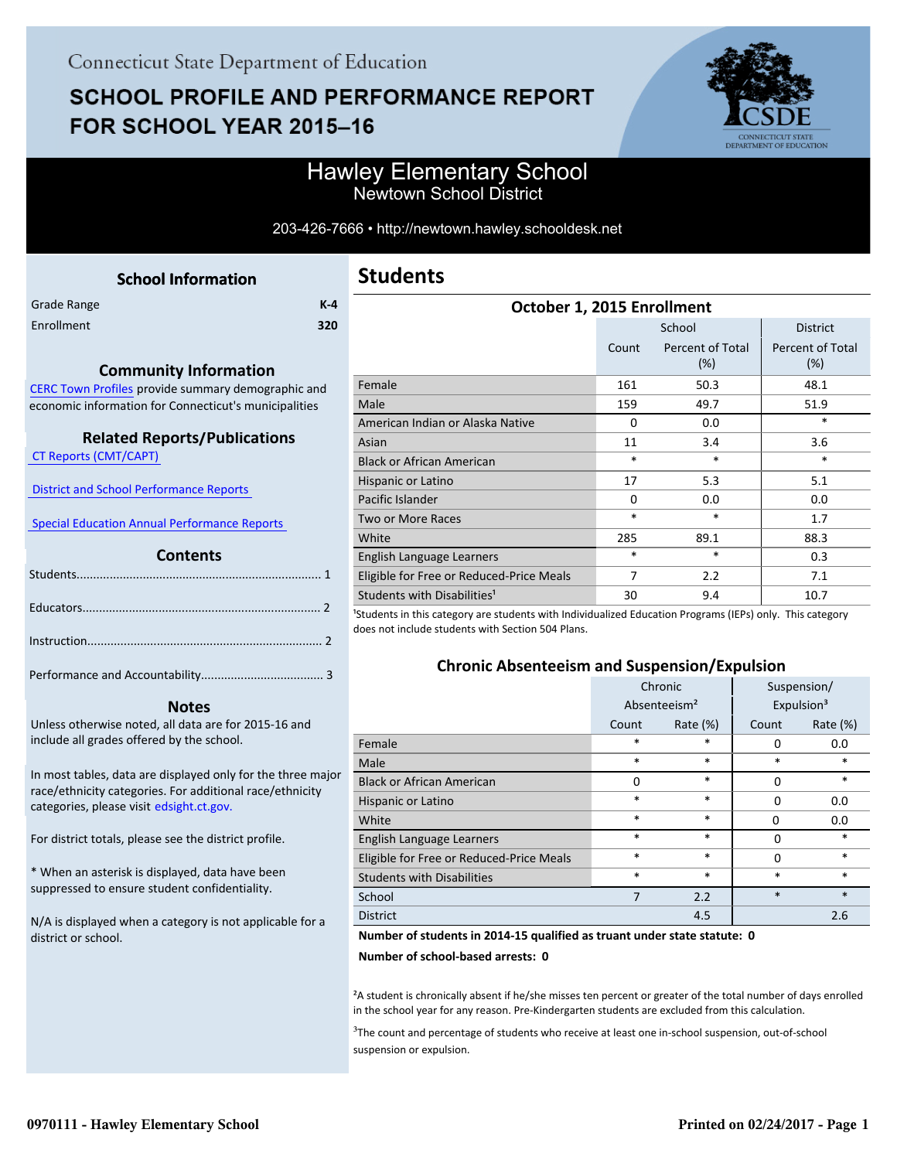# **SCHOOL PROFILE AND PERFORMANCE REPORT** FOR SCHOOL YEAR 2015-16



## Hawley Elementary School Newtown School District

203-426-7666 • http://newtown.hawley.schooldesk.net

<span id="page-0-0"></span>

|             | <b>School Information</b> |         |
|-------------|---------------------------|---------|
| Grade Range |                           | $K - 4$ |
| Enrollment  |                           | 320     |

#### **Community Information**

[CERC Town Profiles provide summary demographic and](http://www.cerc.com/townprofiles/) economic information for Connecticut's municipalities

#### **Related Reports/Publications**

 [CT Reports \(CMT/CAPT\)](http://ctreports.com/) 

 [District and School Performance Reports](http://www.csde.state.ct.us/public/performancereports/reports.asp) 

 [Special Education Annual Performance Reports](http://edsight.ct.gov/SASPortal/main.do) 

#### **Contents**

 **Notes**

Performance and Accountability..................................... 3 .

Unless otherwise noted, all data are for 2015-16 and include all grades offered by the school.

[In most tables, data are displayed only for the three major](http://edsight.ct.gov/) race/ethnicity categories. For additional race/ethnicity categories, please visit edsight.ct.gov.

For district totals, please see the district profile.

\* When an asterisk is displayed, data have been suppressed to ensure student confidentiality.

N/A is displayed when a category is not applicable for a district or school.

## **Students**

| October 1, 2015 Enrollment               |          |                            |                         |  |
|------------------------------------------|----------|----------------------------|-------------------------|--|
|                                          |          | School                     | <b>District</b>         |  |
|                                          | Count    | Percent of Total<br>$(\%)$ | Percent of Total<br>(%) |  |
| Female                                   | 161      | 50.3                       | 48.1                    |  |
| Male                                     | 159      | 49.7                       | 51.9                    |  |
| American Indian or Alaska Native         | $\Omega$ | 0.0                        | $\ast$                  |  |
| Asian                                    | 11       | 3.4                        | 3.6                     |  |
| <b>Black or African American</b>         | $\ast$   | $\ast$                     | $\ast$                  |  |
| Hispanic or Latino                       | 17       | 5.3                        | 5.1                     |  |
| Pacific Islander                         | $\Omega$ | 0.0                        | 0.0                     |  |
| <b>Two or More Races</b>                 | $\ast$   | $\ast$                     | 1.7                     |  |
| White                                    | 285      | 89.1                       | 88.3                    |  |
| English Language Learners                | $\ast$   | *                          | 0.3                     |  |
| Eligible for Free or Reduced-Price Meals | 7        | 2.2                        | 7.1                     |  |
| Students with Disabilities <sup>1</sup>  | 30       | 9.4                        | 10.7<br>$-1$            |  |

<sup>1</sup>Students in this category are students with Individualized Education Programs (IEPs) only. This category does not include students with Section 504 Plans.

#### **Chronic Absenteeism and Suspension/Expulsion**

|                                          | Chronic |                          | Suspension/ |                        |
|------------------------------------------|---------|--------------------------|-------------|------------------------|
|                                          |         | Absenteeism <sup>2</sup> |             | Expulsion <sup>3</sup> |
|                                          | Count   | Rate $(\%)$              | Count       | Rate (%)               |
| Female                                   | *       | *                        | 0           | 0.0                    |
| Male                                     | *       | $\ast$                   | $\ast$      | $\ast$                 |
| <b>Black or African American</b>         | 0       | *                        | $\Omega$    | $\ast$                 |
| Hispanic or Latino                       | *       | *                        | 0           | 0.0                    |
| White                                    | *       | *                        | $\Omega$    | 0.0                    |
| English Language Learners                | *       | $\ast$                   | 0           | $\ast$                 |
| Eligible for Free or Reduced-Price Meals | *       | $\ast$                   | $\Omega$    | $\ast$                 |
| <b>Students with Disabilities</b>        | *       | $\ast$                   | $\ast$      | $\ast$                 |
| School                                   | 7       | 2.2                      | $\ast$      | $\ast$                 |
| <b>District</b>                          |         | 4.5                      |             | 2.6                    |

#### **Number of students in 2014-15 qualified as truant under state statute: 0**

**Number of school-based arrests: 0**

²A student is chronically absent if he/she misses ten percent or greater of the total number of days enrolled in the school year for any reason. Pre-Kindergarten students are excluded from this calculation.

<sup>3</sup>The count and percentage of students who receive at least one in-school suspension, out-of-school suspension or expulsion.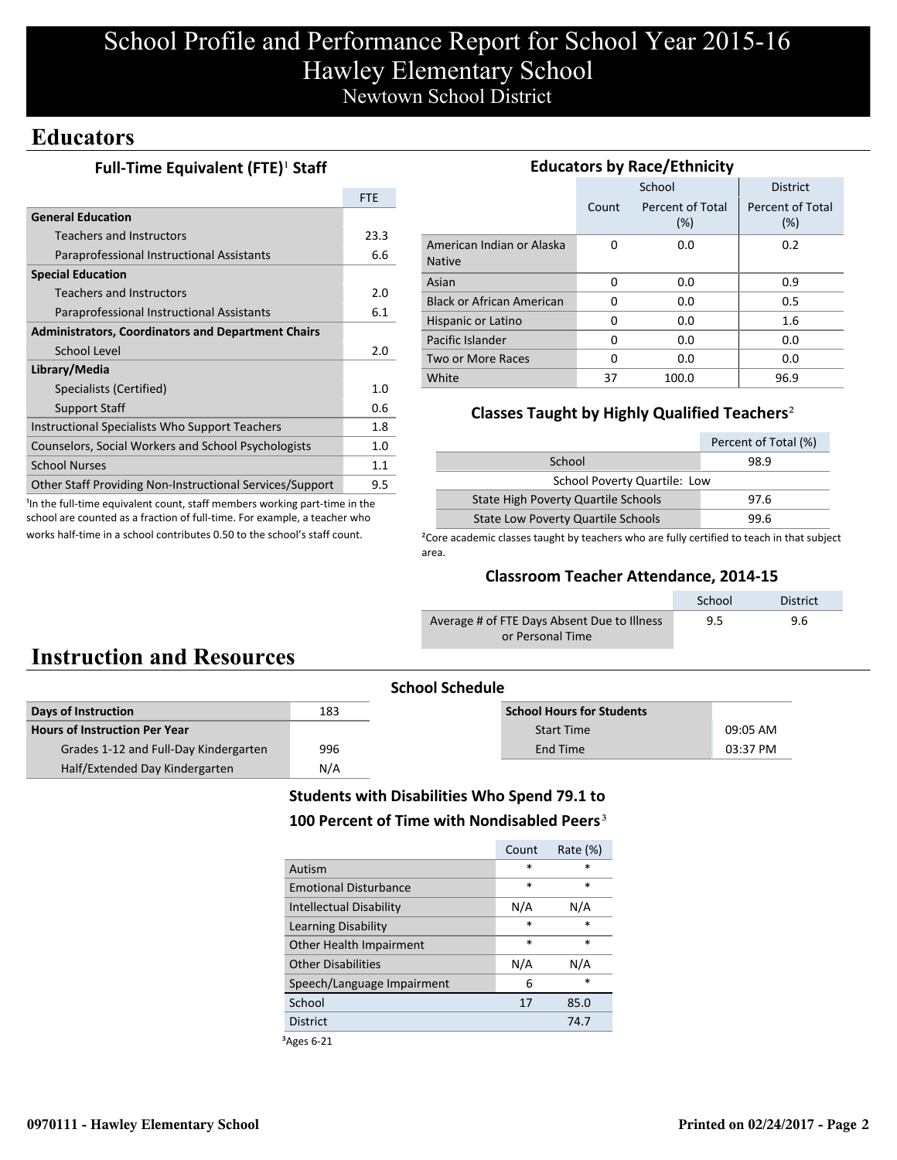# School Profile and Performance Report for School Year 2015-16 Hawley Elementary School Newtown School District

## **Educators**

### **Full-Time Equivalent (FTE)<sup>1</sup> Staff**

|                                                                 | <b>FTF</b>  |
|-----------------------------------------------------------------|-------------|
| <b>General Education</b>                                        |             |
| <b>Teachers and Instructors</b>                                 | 23.3        |
| Paraprofessional Instructional Assistants                       | 6.6         |
| <b>Special Education</b>                                        |             |
| Teachers and Instructors                                        | 2.0         |
| Paraprofessional Instructional Assistants                       | 6.1         |
| <b>Administrators, Coordinators and Department Chairs</b>       |             |
| School Level                                                    | 2.0         |
| Library/Media                                                   |             |
| Specialists (Certified)                                         | 1. $\Omega$ |
| <b>Support Staff</b>                                            | 0.6         |
| Instructional Specialists Who Support Teachers                  | 1.8         |
| Counselors, Social Workers and School Psychologists             | 1.0         |
| <b>School Nurses</b>                                            | 1.1         |
| <b>Other Staff Providing Non-Instructional Services/Support</b> | 9.5         |

<sup>1</sup>In the full-time equivalent count, staff members working part-time in the school are counted as a fraction of full-time. For example, a teacher who works half-time in a school contributes 0.50 to the school's staff count.

| <b>Educators by Race/Ethnicity</b>         |       |                         |                         |  |  |  |
|--------------------------------------------|-------|-------------------------|-------------------------|--|--|--|
|                                            |       | School                  | <b>District</b>         |  |  |  |
|                                            | Count | Percent of Total<br>(%) | Percent of Total<br>(%) |  |  |  |
| American Indian or Alaska<br><b>Native</b> | O     | 0.0                     | 0.2                     |  |  |  |
| Asian                                      | O     | 0.0                     | 0.9                     |  |  |  |
| <b>Black or African American</b>           | O     | 0.0                     | 0.5                     |  |  |  |
| Hispanic or Latino                         | 0     | 0.0                     | 1.6                     |  |  |  |
| Pacific Islander                           | O     | 0.0                     | 0.0                     |  |  |  |
| Two or More Races                          | O     | 0.0                     | 0.0                     |  |  |  |
| White                                      | 37    | 100.0                   | 96.9                    |  |  |  |

### **Classes Taught by Highly Qualified Teachers**²

|                                           | Percent of Total (%) |  |
|-------------------------------------------|----------------------|--|
| School                                    | 98.9                 |  |
| School Poverty Quartile: Low              |                      |  |
| State High Poverty Quartile Schools       | 97.6                 |  |
| <b>State Low Poverty Quartile Schools</b> | 99.6                 |  |

<sup>2</sup>Core academic classes taught by teachers who are fully certified to teach in that subject area.

#### **Classroom Teacher Attendance, 2014-15**

|                                             | School | <b>District</b> |
|---------------------------------------------|--------|-----------------|
| Average # of FTE Days Absent Due to Illness | 9.5    | 9.6             |
| or Personal Time                            |        |                 |

# **Instruction and Resources**

|                                       | <b>School Schedule</b> |                                  |          |  |
|---------------------------------------|------------------------|----------------------------------|----------|--|
| Days of Instruction                   | 183                    | <b>School Hours for Students</b> |          |  |
| <b>Hours of Instruction Per Year</b>  |                        | <b>Start Time</b>                | 09:05 AM |  |
| Grades 1-12 and Full-Day Kindergarten | 996                    | End Time                         | 03:37 PM |  |
| Half/Extended Day Kindergarten        | N/A                    |                                  |          |  |

### **Students with Disabilities Who Spend 79.1 to** 100 Percent of Time with Nondisabled Peers<sup>3</sup>

| Count  | Rate $(\%)$ |
|--------|-------------|
| $\ast$ | *           |
| $\ast$ | $\star$     |
| N/A    | N/A         |
| $\ast$ | $\ast$      |
| $\ast$ | $\ast$      |
| N/A    | N/A         |
| 6      | $\ast$      |
| 17     | 85.0        |
|        | 74.7        |
|        |             |

³Ages 6-21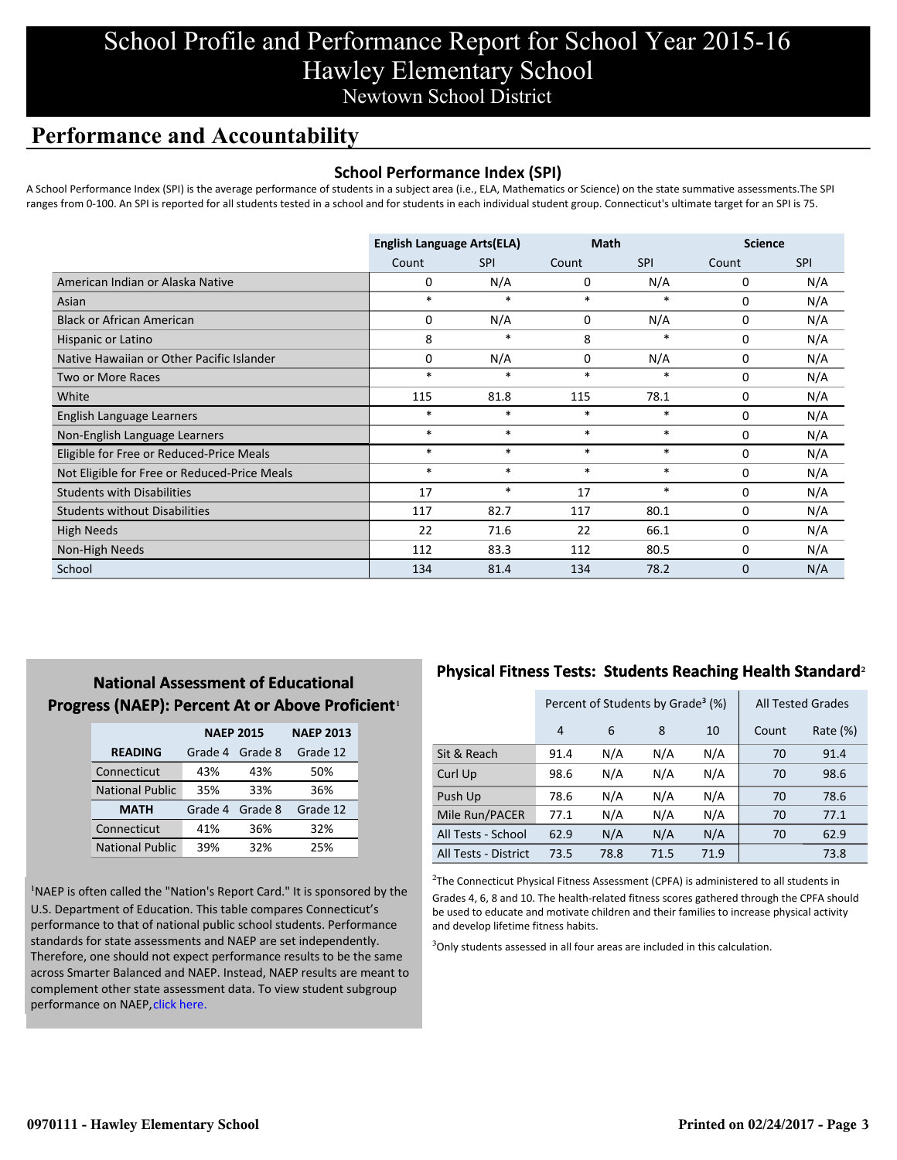# School Profile and Performance Report for School Year 2015-16 Hawley Elementary School Newtown School District

## **Performance and Accountability**

#### **School Performance Index (SPI)**

A School Performance Index (SPI) is the average performance of students in a subject area (i.e., ELA, Mathematics or Science) on the state summative assessments.The SPI ranges from 0-100. An SPI is reported for all students tested in a school and for students in each individual student group. Connecticut's ultimate target for an SPI is 75.

|                                              | <b>English Language Arts(ELA)</b> |            | <b>Math</b> |            | <b>Science</b> |            |
|----------------------------------------------|-----------------------------------|------------|-------------|------------|----------------|------------|
|                                              | Count                             | <b>SPI</b> | Count       | <b>SPI</b> | Count          | <b>SPI</b> |
| American Indian or Alaska Native             | 0                                 | N/A        | 0           | N/A        | 0              | N/A        |
| Asian                                        | $\ast$                            | $\ast$     | $\ast$      | *          | 0              | N/A        |
| <b>Black or African American</b>             | 0                                 | N/A        | 0           | N/A        | 0              | N/A        |
| Hispanic or Latino                           | 8                                 | $\ast$     | 8           | $\ast$     | $\Omega$       | N/A        |
| Native Hawaiian or Other Pacific Islander    | 0                                 | N/A        | 0           | N/A        | $\mathbf 0$    | N/A        |
| <b>Two or More Races</b>                     | $\ast$                            | $\ast$     | $\ast$      | *          | $\mathbf 0$    | N/A        |
| White                                        | 115                               | 81.8       | 115         | 78.1       | 0              | N/A        |
| English Language Learners                    | $\ast$                            | $\ast$     | $\ast$      | $\ast$     | 0              | N/A        |
| Non-English Language Learners                | $\ast$                            | $\ast$     | $\ast$      | $\ast$     | 0              | N/A        |
| Eligible for Free or Reduced-Price Meals     | $\ast$                            | $\ast$     | $\ast$      | $\ast$     | 0              | N/A        |
| Not Eligible for Free or Reduced-Price Meals | $\ast$                            | $\ast$     | $\ast$      | $\ast$     | 0              | N/A        |
| <b>Students with Disabilities</b>            | 17                                | $\ast$     | 17          | $\ast$     | $\mathbf 0$    | N/A        |
| <b>Students without Disabilities</b>         | 117                               | 82.7       | 117         | 80.1       | 0              | N/A        |
| <b>High Needs</b>                            | 22                                | 71.6       | 22          | 66.1       | 0              | N/A        |
| Non-High Needs                               | 112                               | 83.3       | 112         | 80.5       | 0              | N/A        |
| School                                       | 134                               | 81.4       | 134         | 78.2       | 0              | N/A        |

## **National Assessment of Educational Progress (NAEP): Percent At or Above Proficient1**

|                        | <b>NAEP 2015</b>   | <b>NAEP 2013</b> |          |
|------------------------|--------------------|------------------|----------|
| <b>READING</b>         | Grade 4<br>Grade 8 |                  | Grade 12 |
| Connecticut            | 43%                | 43%              | 50%      |
| <b>National Public</b> | 35%                | 33%              | 36%      |
| <b>MATH</b>            | Grade 4            | Grade 8          | Grade 12 |
| Connecticut            | 41%                | 36%              | 32%      |
| <b>National Public</b> | 39%                | 32%              | 25%      |

<sup>1</sup>NAEP is often called the "Nation's Report Card." It is sponsored by the U.S. Department of Education. This table compares Connecticut's performance to that of national public school students. Performance standards for state assessments and NAEP are set independently. Therefore, one should not expect performance results to be the same [across Smarter Balanced and NAEP. Instead, NAEP results are meant to](http://www.sde.ct.gov/sde/lib/sde/pdf/evalresearch/ct_naep_2015_results_by_performance_level.pdf) complement other state assessment data. To view student subgroup performance on NAEP, click here.

## **Physical Fitness Tests: Students Reaching Health Standard**²

|                      | Percent of Students by Grade <sup>3</sup> (%) |      |      |      | <b>All Tested Grades</b> |          |
|----------------------|-----------------------------------------------|------|------|------|--------------------------|----------|
|                      | $\overline{4}$                                | 6    | 8    | 10   | Count                    | Rate (%) |
| Sit & Reach          | 91.4                                          | N/A  | N/A  | N/A  | 70                       | 91.4     |
| Curl Up              | 98.6                                          | N/A  | N/A  | N/A  | 70                       | 98.6     |
| Push Up              | 78.6                                          | N/A  | N/A  | N/A  | 70                       | 78.6     |
| Mile Run/PACER       | 77.1                                          | N/A  | N/A  | N/A  | 70                       | 77.1     |
| All Tests - School   | 62.9                                          | N/A  | N/A  | N/A  | 70                       | 62.9     |
| All Tests - District | 73.5                                          | 78.8 | 71.5 | 71.9 |                          | 73.8     |

 $2$ The Connecticut Physical Fitness Assessment (CPFA) is administered to all students in Grades 4, 6, 8 and 10. The health-related fitness scores gathered through the CPFA should be used to educate and motivate children and their families to increase physical activity and develop lifetime fitness habits.

<sup>3</sup>Only students assessed in all four areas are included in this calculation.